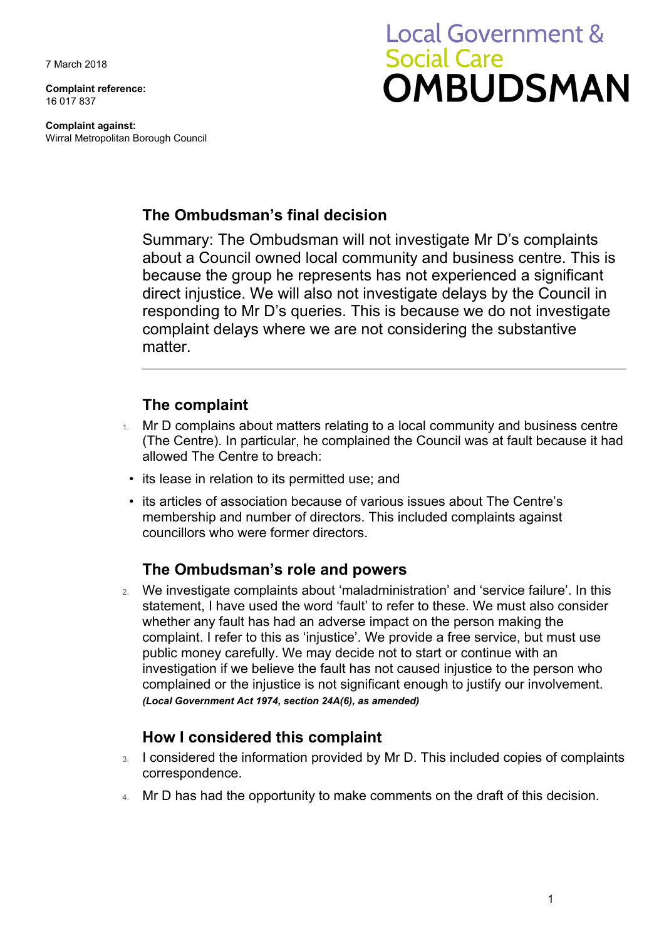7 March 2018

**Complaint reference:** 16 017 837

**Complaint against:** Wirral Metropolitan Borough Council

# **Local Government & Social Care OMBUDSMAN**

### **The Ombudsman's final decision**

Summary: The Ombudsman will not investigate Mr D's complaints about a Council owned local community and business centre. This is because the group he represents has not experienced a significant direct injustice. We will also not investigate delays by the Council in responding to Mr D's queries. This is because we do not investigate complaint delays where we are not considering the substantive matter.

### **The complaint**

- Mr D complains about matters relating to a local community and business centre (The Centre). In particular, he complained the Council was at fault because it had allowed The Centre to breach:
- its lease in relation to its permitted use; and
- its articles of association because of various issues about The Centre's membership and number of directors. This included complaints against councillors who were former directors.

#### **The Ombudsman's role and powers**

2. We investigate complaints about 'maladministration' and 'service failure'. In this statement, I have used the word 'fault' to refer to these. We must also consider whether any fault has had an adverse impact on the person making the complaint. I refer to this as 'injustice'. We provide a free service, but must use public money carefully. We may decide not to start or continue with an investigation if we believe the fault has not caused injustice to the person who complained or the injustice is not significant enough to justify our involvement. *(Local Government Act 1974, section 24A(6), as amended)*

#### **How I considered this complaint**

- 3. I considered the information provided by Mr D. This included copies of complaints correspondence.
- 4. Mr D has had the opportunity to make comments on the draft of this decision.